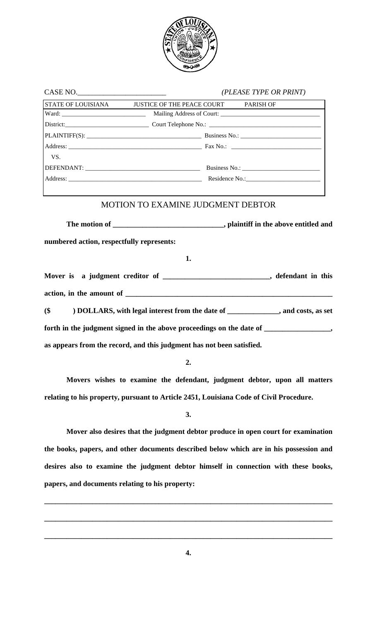

CASE NO.\_\_\_\_\_\_\_\_\_\_\_\_\_\_\_\_\_\_\_\_\_\_\_\_ *(PLEASE TYPE OR PRINT)*

| CADE NU.                                  |                                                                                    | $[PLEA.0E I IPE \, UK \, PRINI]$ |  |  |  |
|-------------------------------------------|------------------------------------------------------------------------------------|----------------------------------|--|--|--|
|                                           | STATE OF LOUISIANA JUSTICE OF THE PEACE COURT PARISH OF                            |                                  |  |  |  |
|                                           |                                                                                    |                                  |  |  |  |
|                                           |                                                                                    |                                  |  |  |  |
|                                           |                                                                                    |                                  |  |  |  |
|                                           |                                                                                    |                                  |  |  |  |
| VS.                                       |                                                                                    |                                  |  |  |  |
|                                           |                                                                                    |                                  |  |  |  |
|                                           |                                                                                    |                                  |  |  |  |
|                                           | <b>MOTION TO EXAMINE JUDGMENT DEBTOR</b>                                           |                                  |  |  |  |
| numbered action, respectfully represents: |                                                                                    |                                  |  |  |  |
|                                           | 1.                                                                                 |                                  |  |  |  |
|                                           | Mover is a judgment creditor of _______________________________, defendant in this |                                  |  |  |  |
|                                           |                                                                                    |                                  |  |  |  |
| $$^{($                                    | ) DOLLARS, with legal interest from the date of ____________, and costs, as set    |                                  |  |  |  |

forth in the judgment signed in the above proceedings on the date of \_\_\_\_\_\_\_\_\_\_\_\_\_\_\_, **as appears from the record, and this judgment has not been satisfied.** 

**2.** 

 **Movers wishes to examine the defendant, judgment debtor, upon all matters relating to his property, pursuant to Article 2451, Louisiana Code of Civil Procedure.** 

**3.** 

 **Mover also desires that the judgment debtor produce in open court for examination the books, papers, and other documents described below which are in his possession and desires also to examine the judgment debtor himself in connection with these books, papers, and documents relating to his property:** 

**\_\_\_\_\_\_\_\_\_\_\_\_\_\_\_\_\_\_\_\_\_\_\_\_\_\_\_\_\_\_\_\_\_\_\_\_\_\_\_\_\_\_\_\_\_\_\_\_\_\_\_\_\_\_\_\_\_\_\_\_\_\_\_\_\_\_\_\_\_\_\_\_\_\_\_\_\_\_**

**\_\_\_\_\_\_\_\_\_\_\_\_\_\_\_\_\_\_\_\_\_\_\_\_\_\_\_\_\_\_\_\_\_\_\_\_\_\_\_\_\_\_\_\_\_\_\_\_\_\_\_\_\_\_\_\_\_\_\_\_\_\_\_\_\_\_\_\_\_\_\_\_\_\_\_\_\_\_**

**\_\_\_\_\_\_\_\_\_\_\_\_\_\_\_\_\_\_\_\_\_\_\_\_\_\_\_\_\_\_\_\_\_\_\_\_\_\_\_\_\_\_\_\_\_\_\_\_\_\_\_\_\_\_\_\_\_\_\_\_\_\_\_\_\_\_\_\_\_\_\_\_\_\_\_\_\_\_**